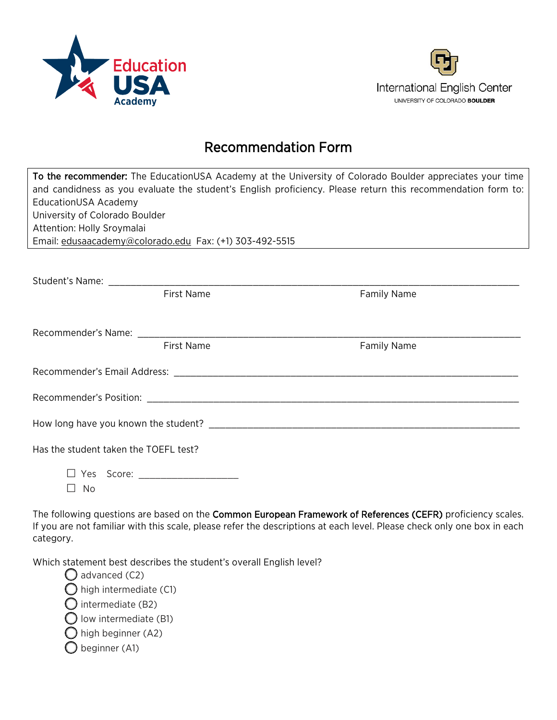



## Recommendation Form

| To the recommender: The EducationUSA Academy at the University of Colorado Boulder appreciates your time<br>and candidness as you evaluate the student's English proficiency. Please return this recommendation form to:<br>EducationUSA Academy<br>University of Colorado Boulder<br>Attention: Holly Sroymalai<br>Email: edusaacademy@colorado.edu Fax: (+1) 303-492-5515 |                    |  |  |
|-----------------------------------------------------------------------------------------------------------------------------------------------------------------------------------------------------------------------------------------------------------------------------------------------------------------------------------------------------------------------------|--------------------|--|--|
| <b>First Name</b>                                                                                                                                                                                                                                                                                                                                                           | <b>Family Name</b> |  |  |
| <b>First Name</b>                                                                                                                                                                                                                                                                                                                                                           | <b>Family Name</b> |  |  |
|                                                                                                                                                                                                                                                                                                                                                                             |                    |  |  |
|                                                                                                                                                                                                                                                                                                                                                                             |                    |  |  |
|                                                                                                                                                                                                                                                                                                                                                                             |                    |  |  |
| Has the student taken the TOEFL test?                                                                                                                                                                                                                                                                                                                                       |                    |  |  |
| □ Yes Score: _____________________<br>No                                                                                                                                                                                                                                                                                                                                    |                    |  |  |

The following questions are based on the Common European Framework of References (CEFR) proficiency scales. If you are not familiar with this scale, please refer the descriptions at each level. Please check only one box in each category.

Which statement best describes the student's overall English level?

 $\bigcirc$  advanced (C2)  $\bigcirc$  high intermediate (C1)  $\bigcirc$  intermediate (B2)  $\bigcirc$  low intermediate (B1)  $\bigcirc$  high beginner (A2)  $\bigcirc$  beginner (A1)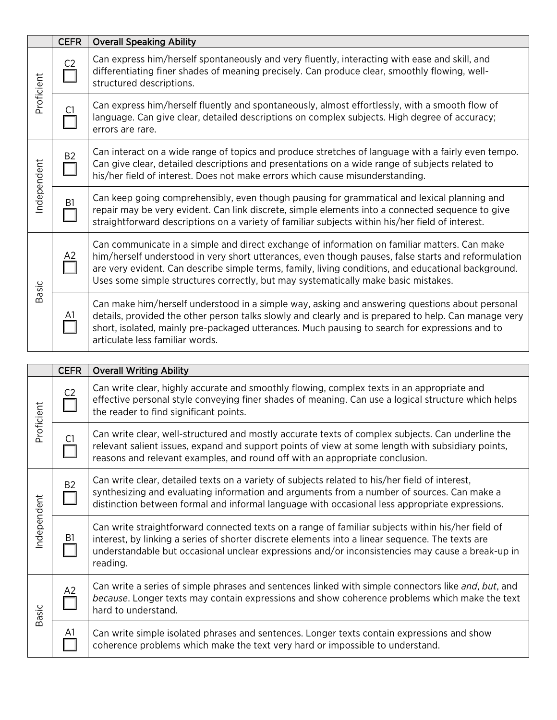|              | <b>CEFR</b>              | <b>Overall Speaking Ability</b>                                                                                                                                                                                                                                                                                                                                                                  |  |
|--------------|--------------------------|--------------------------------------------------------------------------------------------------------------------------------------------------------------------------------------------------------------------------------------------------------------------------------------------------------------------------------------------------------------------------------------------------|--|
| Proficient   | C <sub>2</sub>           | Can express him/herself spontaneously and very fluently, interacting with ease and skill, and<br>differentiating finer shades of meaning precisely. Can produce clear, smoothly flowing, well-<br>structured descriptions.                                                                                                                                                                       |  |
|              | C1.                      | Can express him/herself fluently and spontaneously, almost effortlessly, with a smooth flow of<br>language. Can give clear, detailed descriptions on complex subjects. High degree of accuracy;<br>errors are rare.                                                                                                                                                                              |  |
| Independent  | B <sub>2</sub><br>$\Box$ | Can interact on a wide range of topics and produce stretches of language with a fairly even tempo.<br>Can give clear, detailed descriptions and presentations on a wide range of subjects related to<br>his/her field of interest. Does not make errors which cause misunderstanding.                                                                                                            |  |
|              | B <sub>1</sub>           | Can keep going comprehensibly, even though pausing for grammatical and lexical planning and<br>repair may be very evident. Can link discrete, simple elements into a connected sequence to give<br>straightforward descriptions on a variety of familiar subjects within his/her field of interest.                                                                                              |  |
| <b>Basic</b> | A2                       | Can communicate in a simple and direct exchange of information on familiar matters. Can make<br>him/herself understood in very short utterances, even though pauses, false starts and reformulation<br>are very evident. Can describe simple terms, family, living conditions, and educational background.<br>Uses some simple structures correctly, but may systematically make basic mistakes. |  |
|              | <u>A1</u>                | Can make him/herself understood in a simple way, asking and answering questions about personal<br>details, provided the other person talks slowly and clearly and is prepared to help. Can manage very<br>short, isolated, mainly pre-packaged utterances. Much pausing to search for expressions and to<br>articulate less familiar words.                                                      |  |
|              |                          |                                                                                                                                                                                                                                                                                                                                                                                                  |  |
|              | <b>CEFR</b>              | <b>Overall Writing Ability</b>                                                                                                                                                                                                                                                                                                                                                                   |  |
| Proficient   | C <sub>2</sub>           | Can write clear, highly accurate and smoothly flowing, complex texts in an appropriate and<br>effective personal style conveying finer shades of meaning. Can use a logical structure which helps<br>the reader to find significant points.                                                                                                                                                      |  |
|              | C1                       | Can write clear, well-structured and mostly accurate texts of complex subjects. Can underline the<br>the contract of the contract of the contract of the contract of the contract of the contract of the contract of                                                                                                                                                                             |  |

| ᅕ                   | C1             | Can write cical, wen structured and mostly accurate texts or complex subjects. Can underline the<br>relevant salient issues, expand and support points of view at some length with subsidiary points,<br>reasons and relevant examples, and round off with an appropriate conclusion.                                 |
|---------------------|----------------|-----------------------------------------------------------------------------------------------------------------------------------------------------------------------------------------------------------------------------------------------------------------------------------------------------------------------|
|                     | B <sub>2</sub> | Can write clear, detailed texts on a variety of subjects related to his/her field of interest,<br>synthesizing and evaluating information and arguments from a number of sources. Can make a<br>distinction between formal and informal language with occasional less appropriate expressions.                        |
| ndependent<br>Basic | B1             | Can write straightforward connected texts on a range of familiar subjects within his/her field of<br>interest, by linking a series of shorter discrete elements into a linear sequence. The texts are<br>understandable but occasional unclear expressions and/or inconsistencies may cause a break-up in<br>reading. |
|                     | A2             | Can write a series of simple phrases and sentences linked with simple connectors like and, but, and<br>because. Longer texts may contain expressions and show coherence problems which make the text<br>hard to understand.                                                                                           |
|                     | A1             | Can write simple isolated phrases and sentences. Longer texts contain expressions and show<br>coherence problems which make the text very hard or impossible to understand.                                                                                                                                           |